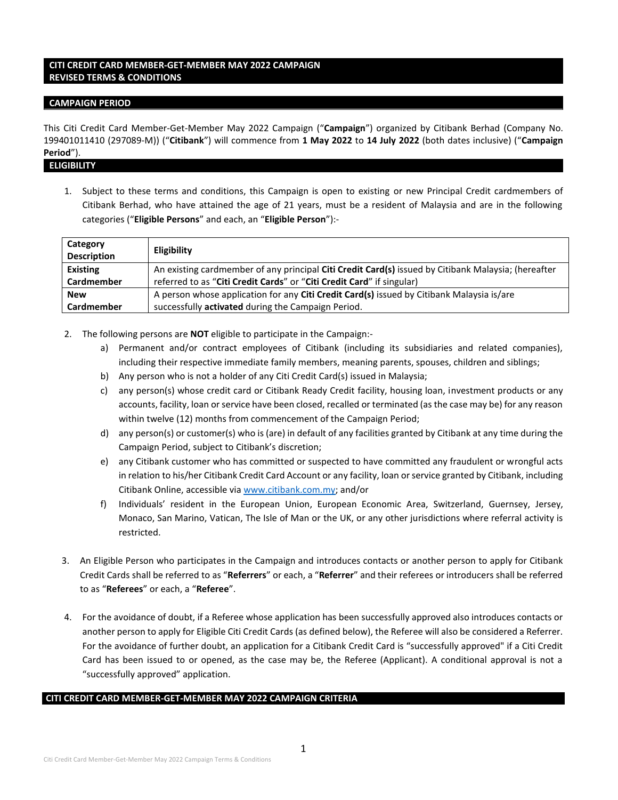# **CITI CREDIT CARD MEMBER-GET-MEMBER MAY 2022 CAMPAIGN REVISED TERMS & CONDITIONS**

### **CAMPAIGN PERIOD**

This Citi Credit Card Member-Get-Member May 2022 Campaign ("**Campaign**") organized by Citibank Berhad (Company No. 199401011410 (297089-M)) ("**Citibank**") will commence from **1 May 2022** to **14 July 2022** (both dates inclusive) ("**Campaign Period**").

**ELIGIBILITY**

1. Subject to these terms and conditions, this Campaign is open to existing or new Principal Credit cardmembers of Citibank Berhad, who have attained the age of 21 years, must be a resident of Malaysia and are in the following categories ("**Eligible Persons**" and each, an "**Eligible Person**"):-

| Category<br><b>Description</b> | <b>Eligibility</b>                                                                                  |
|--------------------------------|-----------------------------------------------------------------------------------------------------|
| Existing                       | An existing cardmember of any principal Citi Credit Card(s) issued by Citibank Malaysia; (hereafter |
| Cardmember                     | referred to as "Citi Credit Cards" or "Citi Credit Card" if singular)                               |
| <b>New</b>                     | A person whose application for any Citi Credit Card(s) issued by Citibank Malaysia is/are           |
| Cardmember                     | successfully activated during the Campaign Period.                                                  |

- 2. The following persons are **NOT** eligible to participate in the Campaign:
	- a) Permanent and/or contract employees of Citibank (including its subsidiaries and related companies), including their respective immediate family members, meaning parents, spouses, children and siblings;
	- b) Any person who is not a holder of any Citi Credit Card(s) issued in Malaysia;
	- c) any person(s) whose credit card or Citibank Ready Credit facility, housing loan, investment products or any accounts, facility, loan or service have been closed, recalled or terminated (as the case may be) for any reason within twelve (12) months from commencement of the Campaign Period;
	- d) any person(s) or customer(s) who is (are) in default of any facilities granted by Citibank at any time during the Campaign Period, subject to Citibank's discretion;
	- e) any Citibank customer who has committed or suspected to have committed any fraudulent or wrongful acts in relation to his/her Citibank Credit Card Account or any facility, loan or service granted by Citibank, including Citibank Online, accessible vi[a www.citibank.com.my;](http://www.citibank.com.my/) and/or
	- f) Individuals' resident in the European Union, European Economic Area, Switzerland, Guernsey, Jersey, Monaco, San Marino, Vatican, The Isle of Man or the UK, or any other jurisdictions where referral activity is restricted.
- 3. An Eligible Person who participates in the Campaign and introduces contacts or another person to apply for Citibank Credit Cards shall be referred to as "**Referrers**" or each, a "**Referrer**" and their referees or introducers shall be referred to as "**Referees**" or each, a "**Referee**".
- 4. For the avoidance of doubt, if a Referee whose application has been successfully approved also introduces contacts or another person to apply for Eligible Citi Credit Cards (as defined below), the Referee will also be considered a Referrer. For the avoidance of further doubt, an application for a Citibank Credit Card is "successfully approved" if a Citi Credit Card has been issued to or opened, as the case may be, the Referee (Applicant). A conditional approval is not a "successfully approved" application.

### **CITI CREDIT CARD MEMBER-GET-MEMBER MAY 2022 CAMPAIGN CRITERIA**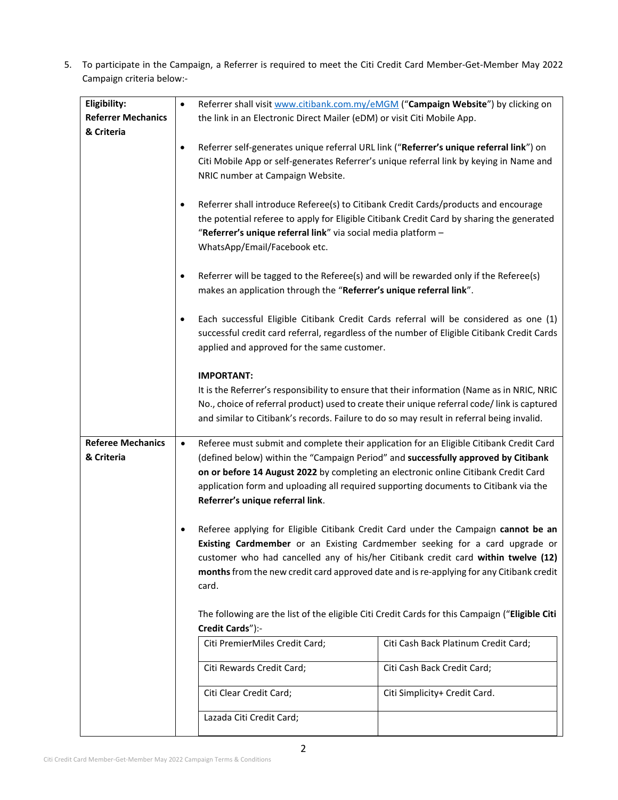5. To participate in the Campaign, a Referrer is required to meet the Citi Credit Card Member-Get-Member May 2022 Campaign criteria below:-

| Eligibility:                           | $\bullet$                                                                                                                                                                                                                                                                                                                                                                                                                                                                                                                             | Referrer shall visit www.citibank.com.my/eMGM ("Campaign Website") by clicking on                                                                                                                                                                                                                                                                                                                                                                                                                                                                                                                                                                                                                                                                                      |                                      |  |
|----------------------------------------|---------------------------------------------------------------------------------------------------------------------------------------------------------------------------------------------------------------------------------------------------------------------------------------------------------------------------------------------------------------------------------------------------------------------------------------------------------------------------------------------------------------------------------------|------------------------------------------------------------------------------------------------------------------------------------------------------------------------------------------------------------------------------------------------------------------------------------------------------------------------------------------------------------------------------------------------------------------------------------------------------------------------------------------------------------------------------------------------------------------------------------------------------------------------------------------------------------------------------------------------------------------------------------------------------------------------|--------------------------------------|--|
| <b>Referrer Mechanics</b>              |                                                                                                                                                                                                                                                                                                                                                                                                                                                                                                                                       | the link in an Electronic Direct Mailer (eDM) or visit Citi Mobile App.                                                                                                                                                                                                                                                                                                                                                                                                                                                                                                                                                                                                                                                                                                |                                      |  |
| & Criteria                             |                                                                                                                                                                                                                                                                                                                                                                                                                                                                                                                                       |                                                                                                                                                                                                                                                                                                                                                                                                                                                                                                                                                                                                                                                                                                                                                                        |                                      |  |
|                                        | Referrer self-generates unique referral URL link ("Referrer's unique referral link") on<br>$\bullet$<br>Citi Mobile App or self-generates Referrer's unique referral link by keying in Name and<br>NRIC number at Campaign Website.<br>Referrer shall introduce Referee(s) to Citibank Credit Cards/products and encourage<br>$\bullet$<br>the potential referee to apply for Eligible Citibank Credit Card by sharing the generated<br>"Referrer's unique referral link" via social media platform -<br>WhatsApp/Email/Facebook etc. |                                                                                                                                                                                                                                                                                                                                                                                                                                                                                                                                                                                                                                                                                                                                                                        |                                      |  |
|                                        |                                                                                                                                                                                                                                                                                                                                                                                                                                                                                                                                       |                                                                                                                                                                                                                                                                                                                                                                                                                                                                                                                                                                                                                                                                                                                                                                        |                                      |  |
|                                        | Referrer will be tagged to the Referee(s) and will be rewarded only if the Referee(s)<br>$\bullet$<br>makes an application through the "Referrer's unique referral link".                                                                                                                                                                                                                                                                                                                                                             |                                                                                                                                                                                                                                                                                                                                                                                                                                                                                                                                                                                                                                                                                                                                                                        |                                      |  |
|                                        | $\bullet$                                                                                                                                                                                                                                                                                                                                                                                                                                                                                                                             | Each successful Eligible Citibank Credit Cards referral will be considered as one (1)<br>successful credit card referral, regardless of the number of Eligible Citibank Credit Cards<br>applied and approved for the same customer.                                                                                                                                                                                                                                                                                                                                                                                                                                                                                                                                    |                                      |  |
|                                        |                                                                                                                                                                                                                                                                                                                                                                                                                                                                                                                                       | <b>IMPORTANT:</b><br>It is the Referrer's responsibility to ensure that their information (Name as in NRIC, NRIC<br>No., choice of referral product) used to create their unique referral code/link is captured<br>and similar to Citibank's records. Failure to do so may result in referral being invalid.                                                                                                                                                                                                                                                                                                                                                                                                                                                           |                                      |  |
| <b>Referee Mechanics</b><br>& Criteria | $\bullet$                                                                                                                                                                                                                                                                                                                                                                                                                                                                                                                             | Referee must submit and complete their application for an Eligible Citibank Credit Card<br>(defined below) within the "Campaign Period" and successfully approved by Citibank<br>on or before 14 August 2022 by completing an electronic online Citibank Credit Card<br>application form and uploading all required supporting documents to Citibank via the<br>Referrer's unique referral link.<br>Referee applying for Eligible Citibank Credit Card under the Campaign cannot be an<br><b>Existing Cardmember</b> or an Existing Cardmember seeking for a card upgrade or<br>customer who had cancelled any of his/her Citibank credit card within twelve (12)<br>months from the new credit card approved date and is re-applying for any Citibank credit<br>card. |                                      |  |
|                                        |                                                                                                                                                                                                                                                                                                                                                                                                                                                                                                                                       |                                                                                                                                                                                                                                                                                                                                                                                                                                                                                                                                                                                                                                                                                                                                                                        |                                      |  |
|                                        |                                                                                                                                                                                                                                                                                                                                                                                                                                                                                                                                       | The following are the list of the eligible Citi Credit Cards for this Campaign ("Eligible Citi<br>Credit Cards"):-                                                                                                                                                                                                                                                                                                                                                                                                                                                                                                                                                                                                                                                     |                                      |  |
|                                        |                                                                                                                                                                                                                                                                                                                                                                                                                                                                                                                                       | Citi PremierMiles Credit Card;                                                                                                                                                                                                                                                                                                                                                                                                                                                                                                                                                                                                                                                                                                                                         | Citi Cash Back Platinum Credit Card; |  |
|                                        |                                                                                                                                                                                                                                                                                                                                                                                                                                                                                                                                       | Citi Rewards Credit Card;                                                                                                                                                                                                                                                                                                                                                                                                                                                                                                                                                                                                                                                                                                                                              | Citi Cash Back Credit Card;          |  |
|                                        |                                                                                                                                                                                                                                                                                                                                                                                                                                                                                                                                       | Citi Clear Credit Card;                                                                                                                                                                                                                                                                                                                                                                                                                                                                                                                                                                                                                                                                                                                                                | Citi Simplicity+ Credit Card.        |  |
|                                        |                                                                                                                                                                                                                                                                                                                                                                                                                                                                                                                                       | Lazada Citi Credit Card;                                                                                                                                                                                                                                                                                                                                                                                                                                                                                                                                                                                                                                                                                                                                               |                                      |  |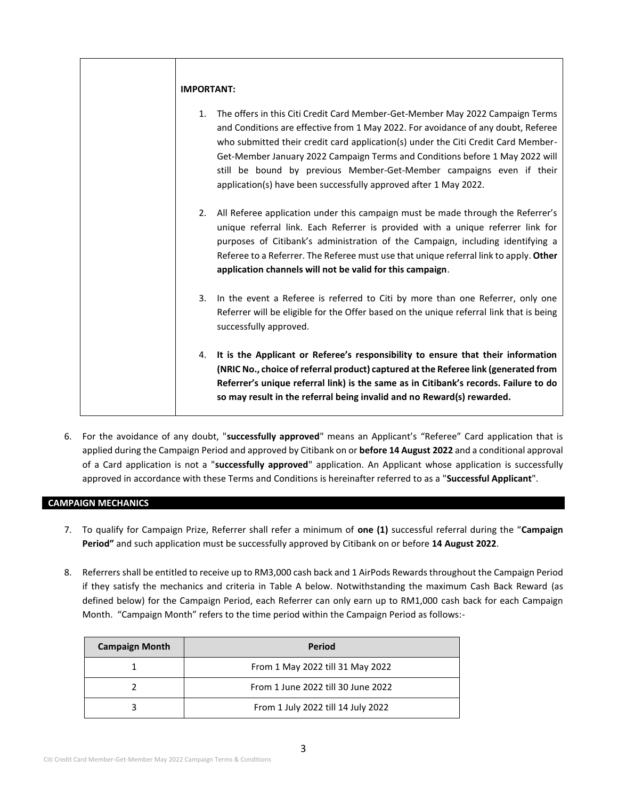| <b>IMPORTANT:</b> |                                                                                                                                                                                                                                                                                                                                                                                                                                                                                        |
|-------------------|----------------------------------------------------------------------------------------------------------------------------------------------------------------------------------------------------------------------------------------------------------------------------------------------------------------------------------------------------------------------------------------------------------------------------------------------------------------------------------------|
|                   | 1. The offers in this Citi Credit Card Member-Get-Member May 2022 Campaign Terms<br>and Conditions are effective from 1 May 2022. For avoidance of any doubt, Referee<br>who submitted their credit card application(s) under the Citi Credit Card Member-<br>Get-Member January 2022 Campaign Terms and Conditions before 1 May 2022 will<br>still be bound by previous Member-Get-Member campaigns even if their<br>application(s) have been successfully approved after 1 May 2022. |
| 2.                | All Referee application under this campaign must be made through the Referrer's<br>unique referral link. Each Referrer is provided with a unique referrer link for<br>purposes of Citibank's administration of the Campaign, including identifying a<br>Referee to a Referrer. The Referee must use that unique referral link to apply. Other<br>application channels will not be valid for this campaign.                                                                             |
|                   | 3. In the event a Referee is referred to Citi by more than one Referrer, only one<br>Referrer will be eligible for the Offer based on the unique referral link that is being<br>successfully approved.                                                                                                                                                                                                                                                                                 |
|                   | 4. It is the Applicant or Referee's responsibility to ensure that their information<br>(NRIC No., choice of referral product) captured at the Referee link (generated from<br>Referrer's unique referral link) is the same as in Citibank's records. Failure to do<br>so may result in the referral being invalid and no Reward(s) rewarded.                                                                                                                                           |

6. For the avoidance of any doubt, "**successfully approved**" means an Applicant's "Referee" Card application that is applied during the Campaign Period and approved by Citibank on or **before 14 August 2022** and a conditional approval of a Card application is not a "**successfully approved**" application. An Applicant whose application is successfully approved in accordance with these Terms and Conditions is hereinafter referred to as a "**Successful Applicant**".

# **CAMPAIGN MECHANICS**

- 7. To qualify for Campaign Prize, Referrer shall refer a minimum of **one (1)** successful referral during the "**Campaign Period"** and such application must be successfully approved by Citibank on or before **14 August 2022**.
- 8. Referrers shall be entitled to receive up to RM3,000 cash back and 1 AirPods Rewards throughout the Campaign Period if they satisfy the mechanics and criteria in Table A below. Notwithstanding the maximum Cash Back Reward (as defined below) for the Campaign Period, each Referrer can only earn up to RM1,000 cash back for each Campaign Month. "Campaign Month" refers to the time period within the Campaign Period as follows:-

| <b>Campaign Month</b> | Period                             |
|-----------------------|------------------------------------|
|                       | From 1 May 2022 till 31 May 2022   |
|                       | From 1 June 2022 till 30 June 2022 |
|                       | From 1 July 2022 till 14 July 2022 |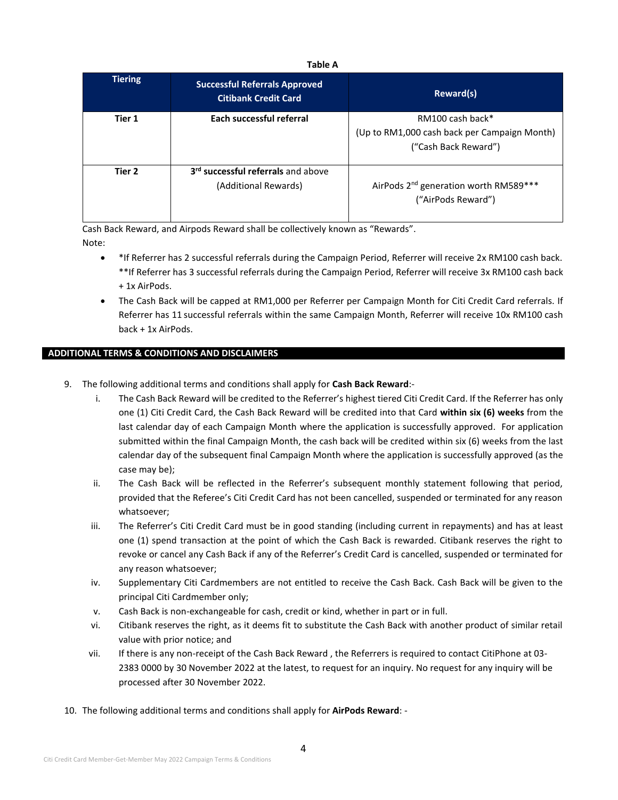### **Table A**

| <b>Tiering</b> | <b>Successful Referrals Approved</b><br><b>Citibank Credit Card</b>    | Reward(s)                                                                                |
|----------------|------------------------------------------------------------------------|------------------------------------------------------------------------------------------|
| Tier 1         | Each successful referral                                               | RM100 cash back*<br>(Up to RM1,000 cash back per Campaign Month)<br>("Cash Back Reward") |
| Tier 2         | 3 <sup>rd</sup> successful referrals and above<br>(Additional Rewards) | AirPods 2 <sup>nd</sup> generation worth RM589***<br>("AirPods Reward")                  |

Cash Back Reward, and Airpods Reward shall be collectively known as "Rewards". Note:

- \*If Referrer has 2 successful referrals during the Campaign Period, Referrer will receive 2x RM100 cash back. \*\*If Referrer has 3 successful referrals during the Campaign Period, Referrer will receive 3x RM100 cash back + 1x AirPods.
- The Cash Back will be capped at RM1,000 per Referrer per Campaign Month for Citi Credit Card referrals. If Referrer has 11 successful referrals within the same Campaign Month, Referrer will receive 10x RM100 cash back + 1x AirPods.

# **ADDITIONAL TERMS & CONDITIONS AND DISCLAIMERS**

- 9. The following additional terms and conditions shall apply for **Cash Back Reward**:
	- i. The Cash Back Reward will be credited to the Referrer's highest tiered Citi Credit Card. If the Referrer has only one (1) Citi Credit Card, the Cash Back Reward will be credited into that Card **within six (6) weeks** from the last calendar day of each Campaign Month where the application is successfully approved. For application submitted within the final Campaign Month, the cash back will be credited within six (6) weeks from the last calendar day of the subsequent final Campaign Month where the application is successfully approved (as the case may be);
	- ii. The Cash Back will be reflected in the Referrer's subsequent monthly statement following that period, provided that the Referee's Citi Credit Card has not been cancelled, suspended or terminated for any reason whatsoever;
	- iii. The Referrer's Citi Credit Card must be in good standing (including current in repayments) and has at least one (1) spend transaction at the point of which the Cash Back is rewarded. Citibank reserves the right to revoke or cancel any Cash Back if any of the Referrer's Credit Card is cancelled, suspended or terminated for any reason whatsoever;
	- iv. Supplementary Citi Cardmembers are not entitled to receive the Cash Back. Cash Back will be given to the principal Citi Cardmember only;
	- v. Cash Back is non-exchangeable for cash, credit or kind, whether in part or in full.
	- vi. Citibank reserves the right, as it deems fit to substitute the Cash Back with another product of similar retail value with prior notice; and
	- vii. If there is any non-receipt of the Cash Back Reward , the Referrers is required to contact CitiPhone at 03- 2383 0000 by 30 November 2022 at the latest, to request for an inquiry. No request for any inquiry will be processed after 30 November 2022.
- 10. The following additional terms and conditions shall apply for **AirPods Reward**: -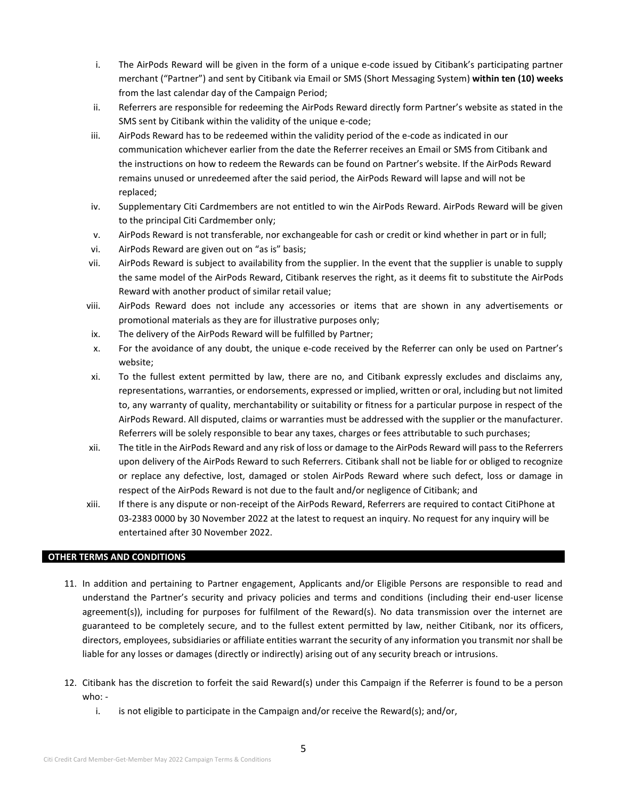- i. The AirPods Reward will be given in the form of a unique e-code issued by Citibank's participating partner merchant ("Partner") and sent by Citibank via Email or SMS (Short Messaging System) **within ten (10) weeks** from the last calendar day of the Campaign Period;
- ii. Referrers are responsible for redeeming the AirPods Reward directly form Partner's website as stated in the SMS sent by Citibank within the validity of the unique e-code;
- iii. AirPods Reward has to be redeemed within the validity period of the e-code as indicated in our communication whichever earlier from the date the Referrer receives an Email or SMS from Citibank and the instructions on how to redeem the Rewards can be found on Partner's website. If the AirPods Reward remains unused or unredeemed after the said period, the AirPods Reward will lapse and will not be replaced;
- iv. Supplementary Citi Cardmembers are not entitled to win the AirPods Reward. AirPods Reward will be given to the principal Citi Cardmember only;
- v. AirPods Reward is not transferable, nor exchangeable for cash or credit or kind whether in part or in full;
- vi. AirPods Reward are given out on "as is" basis;
- vii. AirPods Reward is subject to availability from the supplier. In the event that the supplier is unable to supply the same model of the AirPods Reward, Citibank reserves the right, as it deems fit to substitute the AirPods Reward with another product of similar retail value;
- viii. AirPods Reward does not include any accessories or items that are shown in any advertisements or promotional materials as they are for illustrative purposes only;
- ix. The delivery of the AirPods Reward will be fulfilled by Partner;
- x. For the avoidance of any doubt, the unique e-code received by the Referrer can only be used on Partner's website;
- xi. To the fullest extent permitted by law, there are no, and Citibank expressly excludes and disclaims any, representations, warranties, or endorsements, expressed or implied, written or oral, including but not limited to, any warranty of quality, merchantability or suitability or fitness for a particular purpose in respect of the AirPods Reward. All disputed, claims or warranties must be addressed with the supplier or the manufacturer. Referrers will be solely responsible to bear any taxes, charges or fees attributable to such purchases;
- xii. The title in the AirPods Reward and any risk of loss or damage to the AirPods Reward will pass to the Referrers upon delivery of the AirPods Reward to such Referrers. Citibank shall not be liable for or obliged to recognize or replace any defective, lost, damaged or stolen AirPods Reward where such defect, loss or damage in respect of the AirPods Reward is not due to the fault and/or negligence of Citibank; and
- xiii. If there is any dispute or non-receipt of the AirPods Reward, Referrers are required to contact CitiPhone at 03-2383 0000 by 30 November 2022 at the latest to request an inquiry. No request for any inquiry will be entertained after 30 November 2022.

### **OTHER TERMS AND CONDITIONS**

- 11. In addition and pertaining to Partner engagement, Applicants and/or Eligible Persons are responsible to read and understand the Partner's security and privacy policies and terms and conditions (including their end-user license agreement(s)), including for purposes for fulfilment of the Reward(s). No data transmission over the internet are guaranteed to be completely secure, and to the fullest extent permitted by law, neither Citibank, nor its officers, directors, employees, subsidiaries or affiliate entities warrant the security of any information you transmit nor shall be liable for any losses or damages (directly or indirectly) arising out of any security breach or intrusions.
- 12. Citibank has the discretion to forfeit the said Reward(s) under this Campaign if the Referrer is found to be a person  $who:$ 
	- i. is not eligible to participate in the Campaign and/or receive the Reward(s); and/or,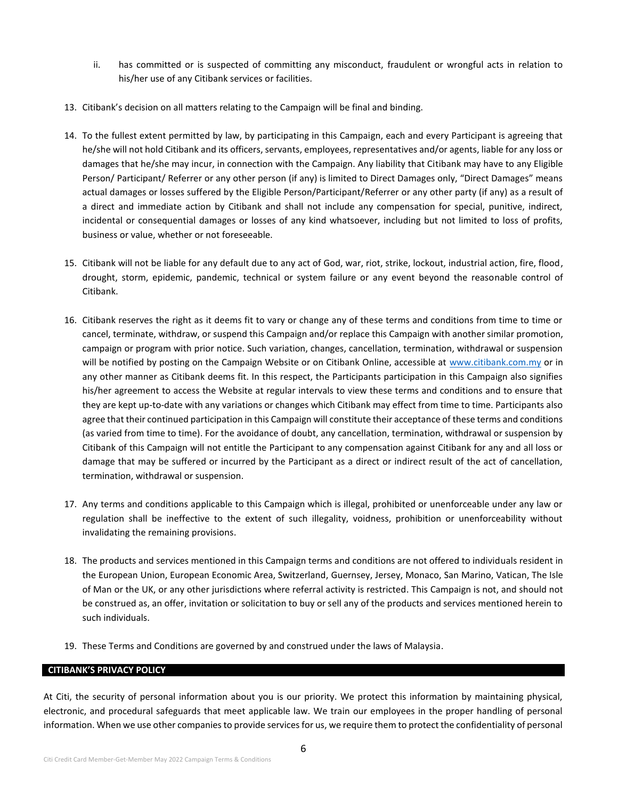- ii. has committed or is suspected of committing any misconduct, fraudulent or wrongful acts in relation to his/her use of any Citibank services or facilities.
- 13. Citibank's decision on all matters relating to the Campaign will be final and binding.
- 14. To the fullest extent permitted by law, by participating in this Campaign, each and every Participant is agreeing that he/she will not hold Citibank and its officers, servants, employees, representatives and/or agents, liable for any loss or damages that he/she may incur, in connection with the Campaign. Any liability that Citibank may have to any Eligible Person/ Participant/ Referrer or any other person (if any) is limited to Direct Damages only, "Direct Damages" means actual damages or losses suffered by the Eligible Person/Participant/Referrer or any other party (if any) as a result of a direct and immediate action by Citibank and shall not include any compensation for special, punitive, indirect, incidental or consequential damages or losses of any kind whatsoever, including but not limited to loss of profits, business or value, whether or not foreseeable.
- 15. Citibank will not be liable for any default due to any act of God, war, riot, strike, lockout, industrial action, fire, flood, drought, storm, epidemic, pandemic, technical or system failure or any event beyond the reasonable control of Citibank.
- 16. Citibank reserves the right as it deems fit to vary or change any of these terms and conditions from time to time or cancel, terminate, withdraw, or suspend this Campaign and/or replace this Campaign with another similar promotion, campaign or program with prior notice. Such variation, changes, cancellation, termination, withdrawal or suspension will be notified by posting on the Campaign Website or on Citibank Online, accessible at [www.citibank.com.my](http://www.citibank.com.my/) or in any other manner as Citibank deems fit. In this respect, the Participants participation in this Campaign also signifies his/her agreement to access the Website at regular intervals to view these terms and conditions and to ensure that they are kept up-to-date with any variations or changes which Citibank may effect from time to time. Participants also agree that their continued participation in this Campaign will constitute their acceptance of these terms and conditions (as varied from time to time). For the avoidance of doubt, any cancellation, termination, withdrawal or suspension by Citibank of this Campaign will not entitle the Participant to any compensation against Citibank for any and all loss or damage that may be suffered or incurred by the Participant as a direct or indirect result of the act of cancellation, termination, withdrawal or suspension.
- 17. Any terms and conditions applicable to this Campaign which is illegal, prohibited or unenforceable under any law or regulation shall be ineffective to the extent of such illegality, voidness, prohibition or unenforceability without invalidating the remaining provisions.
- 18. The products and services mentioned in this Campaign terms and conditions are not offered to individuals resident in the European Union, European Economic Area, Switzerland, Guernsey, Jersey, Monaco, San Marino, Vatican, The Isle of Man or the UK, or any other jurisdictions where referral activity is restricted. This Campaign is not, and should not be construed as, an offer, invitation or solicitation to buy or sell any of the products and services mentioned herein to such individuals.
- 19. These Terms and Conditions are governed by and construed under the laws of Malaysia.

#### **CITIBANK'S PRIVACY POLICY**

At Citi, the security of personal information about you is our priority. We protect this information by maintaining physical, electronic, and procedural safeguards that meet applicable law. We train our employees in the proper handling of personal information. When we use other companies to provide services for us, we require them to protect the confidentiality of personal